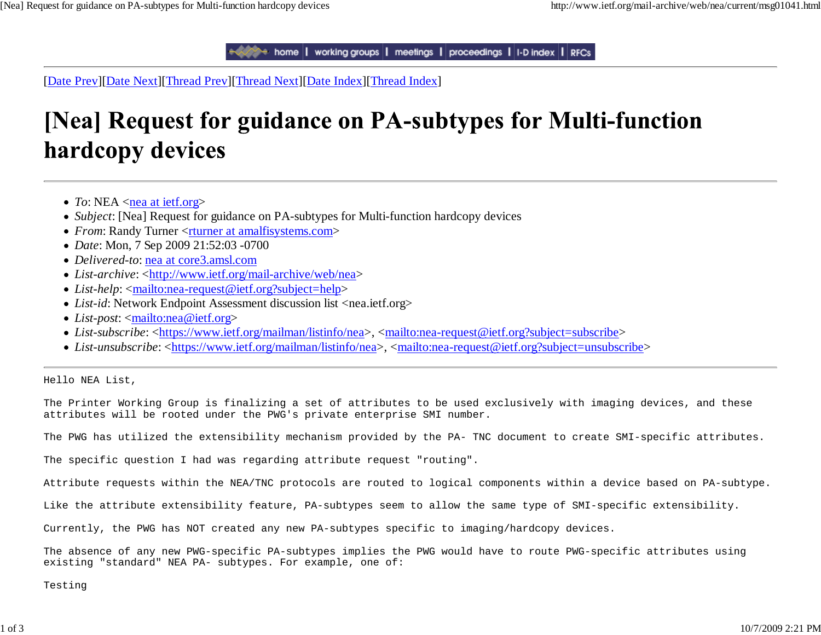to home | working groups | meetings | proceedings | I-D index | RFCs

[Date Prev][Date Next][Thread Prev][Thread Next][Date Index][Thread Index]

## [Nea] Request for guidance on PA-subtypes for Multi-function hardcopy devices

- To:  $NEA \leq$ **nea at ietf.org>**
- *Subject*: [Nea] Request for guidance on PA-subtypes for Multi-function hardcopy devices
- *From*: Randy Turner <*rturner* at amalfisystems.com>
- *Date*: Mon, 7 Sep 2009 21:52:03 -0700
- *Delivered-to*: nea at core3.amsl.com
- *List-archive:* <http://www.ietf.org/mail-archive/web/nea>
- *List-help*: <mailto:nea-request@ietf.org?subject=help>
- *List-id*: Network Endpoint Assessment discussion list <nea.ietf.org>
- *List-post*: <mailto:nea@ietf.org>
- *List-subscribe:* <https://www.ietf.org/mailman/listinfo/nea>, <mailto:nea-request@ietf.org?subject=subscribe>
- *List-unsubscribe*: <https://www.ietf.org/mailman/listinfo/nea>, <mailto:nea-request@ietf.org?subject=unsubscribe>

Hello NEA List,

The Printer Working Group is finalizing a set of attributes to be used exclusively with imaging devices, and these attributes will be rooted under the PWG's private enterprise SMI number.

The PWG has utilized the extensibility mechanism provided by the PA- TNC document to create SMI-specific attributes.

The specific question I had was regarding attribute request "routing".

Attribute requests within the NEA/TNC protocols are routed to logical components within a device based on PA-subtype.

Like the attribute extensibility feature, PA-subtypes seem to allow the same type of SMI-specific extensibility.

Currently, the PWG has NOT created any new PA-subtypes specific to imaging/hardcopy devices.

The absence of any new PWG-specific PA-subtypes implies the PWG would have to route PWG-specific attributes using existing "standard" NEA PA- subtypes. For example, one of:

Testing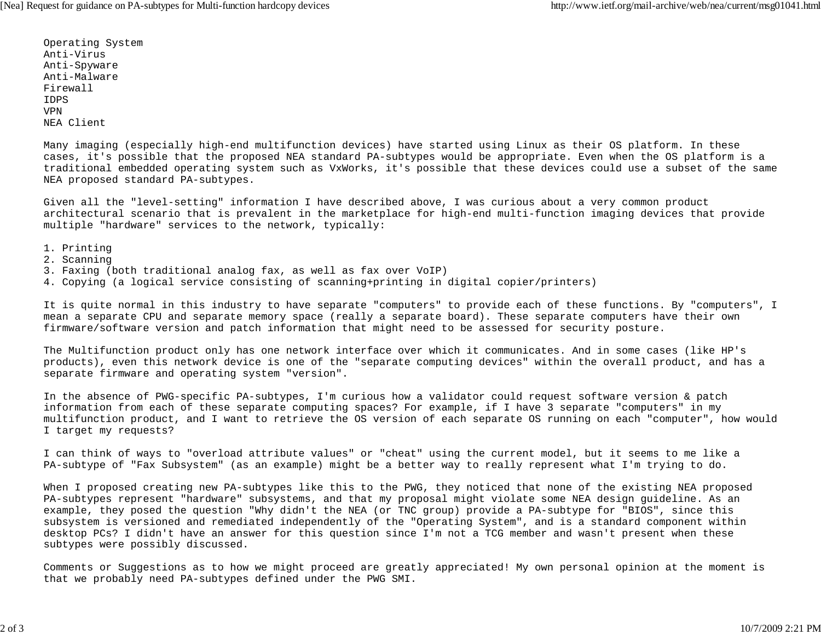Operating System Anti-VirusAnti-Spyware Anti-MalwareFirewallIDPSVPNNEA Client

Many imaging (especially high-end multifunction devices) have started using Linux as their OS platform. In these cases, it's possible that the proposed NEA standard PA-subtypes would be appropriate. Even when the OS platform is a traditional embedded operating system such as VxWorks, it's possible that these devices could use a subset of the same NEA proposed standard PA-subtypes.

Given all the "level-setting" information I have described above, I was curious about a very common product architectural scenario that is prevalent in the marketplace for high-end multi-function imaging devices that provide multiple "hardware" services to the network, typically:

- 1. Printing
- 2. Scanning
- 3. Faxing (both traditional analog fax, as well as fax over VoIP)
- 4. Copying (a logical service consisting of scanning+printing in digital copier/printers)

It is quite normal in this industry to have separate "computers" to provide each of these functions. By "computers", I mean a separate CPU and separate memory space (really a separate board). These separate computers have their own firmware/software version and patch information that might need to be assessed for security posture.

The Multifunction product only has one network interface over which it communicates. And in some cases (like HP's products), even this network device is one of the "separate computing devices" within the overall product, and has a separate firmware and operating system "version".

In the absence of PWG-specific PA-subtypes, I'm curious how a validator could request software version & patch information from each of these separate computing spaces? For example, if I have 3 separate "computers" in my multifunction product, and I want to retrieve the OS version of each separate OS running on each "computer", how would I target my requests?

I can think of ways to "overload attribute values" or "cheat" using the current model, but it seems to me like a PA-subtype of "Fax Subsystem" (as an example) might be a better way to really represent what I'm trying to do.

When I proposed creating new PA-subtypes like this to the PWG, they noticed that none of the existing NEA proposed PA-subtypes represent "hardware" subsystems, and that my proposal might violate some NEA design guideline. As an example, they posed the question "Why didn't the NEA (or TNC group) provide a PA-subtype for "BIOS", since this subsystem is versioned and remediated independently of the "Operating System", and is a standard component within desktop PCs? I didn't have an answer for this question since I'm not a TCG member and wasn't present when these subtypes were possibly discussed.

Comments or Suggestions as to how we might proceed are greatly appreciated! My own personal opinion at the moment is that we probably need PA-subtypes defined under the PWG SMI.